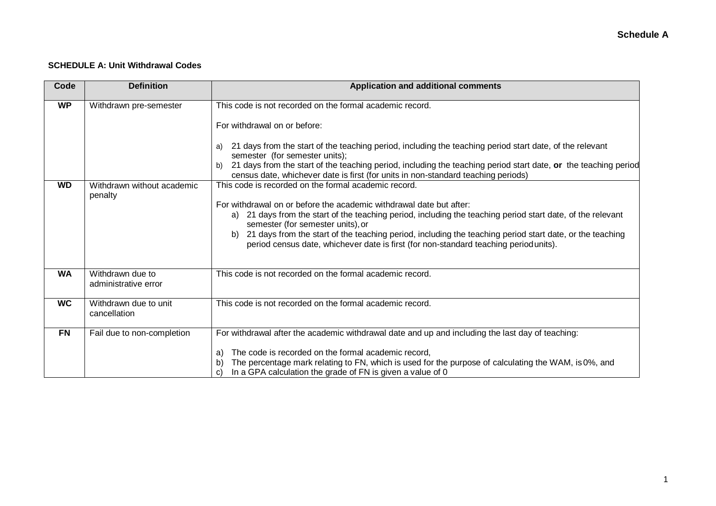#### **SCHEDULE A: Unit Withdrawal Codes**

| Code                                                                                                  | <b>Definition</b>                        | <b>Application and additional comments</b>                                                                                                                                                                                                                                                                                                                                                                                                                                                                                                                                    |
|-------------------------------------------------------------------------------------------------------|------------------------------------------|-------------------------------------------------------------------------------------------------------------------------------------------------------------------------------------------------------------------------------------------------------------------------------------------------------------------------------------------------------------------------------------------------------------------------------------------------------------------------------------------------------------------------------------------------------------------------------|
| <b>WP</b><br>Withdrawn pre-semester<br>a)<br>b)<br><b>WD</b><br>Withdrawn without academic<br>penalty |                                          | This code is not recorded on the formal academic record.<br>For withdrawal on or before:<br>21 days from the start of the teaching period, including the teaching period start date, of the relevant<br>semester (for semester units);<br>21 days from the start of the teaching period, including the teaching period start date, or the teaching period<br>census date, whichever date is first (for units in non-standard teaching periods)<br>This code is recorded on the formal academic record.<br>For withdrawal on or before the academic withdrawal date but after: |
|                                                                                                       |                                          | 21 days from the start of the teaching period, including the teaching period start date, of the relevant<br>a)<br>semester (for semester units), or<br>21 days from the start of the teaching period, including the teaching period start date, or the teaching<br>b)<br>period census date, whichever date is first (for non-standard teaching period units).                                                                                                                                                                                                                |
| <b>WA</b>                                                                                             | Withdrawn due to<br>administrative error | This code is not recorded on the formal academic record.                                                                                                                                                                                                                                                                                                                                                                                                                                                                                                                      |
| <b>WC</b>                                                                                             | Withdrawn due to unit<br>cancellation    | This code is not recorded on the formal academic record.                                                                                                                                                                                                                                                                                                                                                                                                                                                                                                                      |
| <b>FN</b>                                                                                             | Fail due to non-completion               | For withdrawal after the academic withdrawal date and up and including the last day of teaching:<br>The code is recorded on the formal academic record,<br>a)<br>The percentage mark relating to FN, which is used for the purpose of calculating the WAM, is 0%, and<br>In a GPA calculation the grade of FN is given a value of 0<br>C)                                                                                                                                                                                                                                     |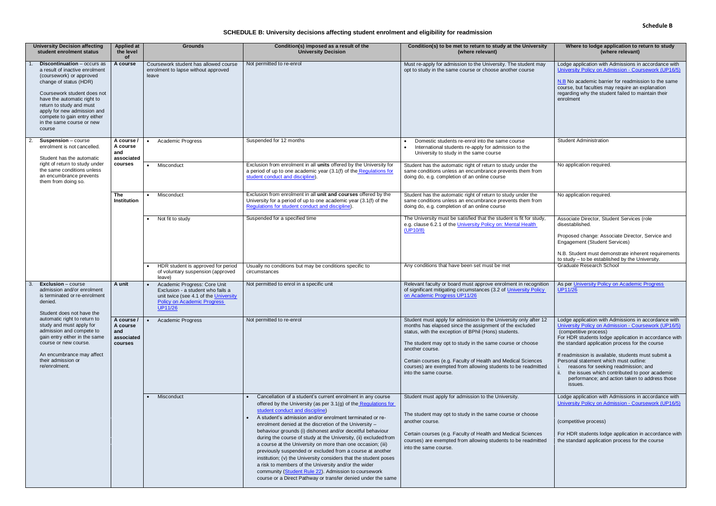## **SCHEDULE B: University decisions affecting student enrolment and eligibility for readmission**

| <b>University Decision affecting</b><br>student enrolment status                                                                                                                                                                                                                                                           | <b>Applied at</b><br>the level<br><b>of</b>            | <b>Grounds</b>                                                                                                                                                     | Condition(s) imposed as a result of the<br><b>University Decision</b>                                                                                                                                                                                                                                                                                                                                                                                                                                                                                                                                                                                                                                                                                                                                     | Condition(s) to be met to return to study at the University<br>(where relevant)                                                                                                                                                                                                                                                                                                                                               | Where to lodge application to return to study<br>(where relevant)                                                                                                                                                                                                                                                                                                                                                                                                                             |
|----------------------------------------------------------------------------------------------------------------------------------------------------------------------------------------------------------------------------------------------------------------------------------------------------------------------------|--------------------------------------------------------|--------------------------------------------------------------------------------------------------------------------------------------------------------------------|-----------------------------------------------------------------------------------------------------------------------------------------------------------------------------------------------------------------------------------------------------------------------------------------------------------------------------------------------------------------------------------------------------------------------------------------------------------------------------------------------------------------------------------------------------------------------------------------------------------------------------------------------------------------------------------------------------------------------------------------------------------------------------------------------------------|-------------------------------------------------------------------------------------------------------------------------------------------------------------------------------------------------------------------------------------------------------------------------------------------------------------------------------------------------------------------------------------------------------------------------------|-----------------------------------------------------------------------------------------------------------------------------------------------------------------------------------------------------------------------------------------------------------------------------------------------------------------------------------------------------------------------------------------------------------------------------------------------------------------------------------------------|
| <b>Discontinuation</b> - occurs as<br>a result of inactive enrolment<br>(coursework) or approved<br>change of status (HDR)<br>Coursework student does not<br>have the automatic right to<br>return to study and must<br>apply for new admission and<br>compete to gain entry either<br>in the same course or new<br>course | A course                                               | Coursework student has allowed course<br>enrolment to lapse without approved<br>leave                                                                              | Not permitted to re-enrol                                                                                                                                                                                                                                                                                                                                                                                                                                                                                                                                                                                                                                                                                                                                                                                 | Must re-apply for admission to the University. The student may<br>opt to study in the same course or choose another course                                                                                                                                                                                                                                                                                                    | Lodge application with Admissions in accordance with<br>University Policy on Admission - Coursework (UP16/5)<br>N.B No academic barrier for readmission to the same<br>course, but faculties may require an explanation<br>regarding why the student failed to maintain their<br>enrolment                                                                                                                                                                                                    |
| <b>Suspension</b> $-$ course<br>enrolment is not cancelled.<br>Student has the automatic                                                                                                                                                                                                                                   | A course /<br>A course<br>and<br>associated            | Academic Progress                                                                                                                                                  | Suspended for 12 months                                                                                                                                                                                                                                                                                                                                                                                                                                                                                                                                                                                                                                                                                                                                                                                   | Domestic students re-enrol into the same course<br>International students re-apply for admission to the<br>University to study in the same course                                                                                                                                                                                                                                                                             | <b>Student Administration</b>                                                                                                                                                                                                                                                                                                                                                                                                                                                                 |
| right of return to study under<br>the same conditions unless<br>an encumbrance prevents<br>them from doing so.                                                                                                                                                                                                             | courses                                                | Misconduct                                                                                                                                                         | Exclusion from enrolment in all units offered by the University for<br>a period of up to one academic year (3.1(f) of the Regulations for<br>student conduct and discipline).                                                                                                                                                                                                                                                                                                                                                                                                                                                                                                                                                                                                                             | Student has the automatic right of return to study under the<br>same conditions unless an encumbrance prevents them from<br>doing do, e.g. completion of an online course                                                                                                                                                                                                                                                     | No application required.                                                                                                                                                                                                                                                                                                                                                                                                                                                                      |
|                                                                                                                                                                                                                                                                                                                            | <b>The</b><br>Institution                              | Misconduct<br>$\bullet$                                                                                                                                            | Exclusion from enrolment in all unit and courses offered by the<br>University for a period of up to one academic year (3.1(f) of the<br>Regulations for student conduct and discipline)                                                                                                                                                                                                                                                                                                                                                                                                                                                                                                                                                                                                                   | Student has the automatic right of return to study under the<br>same conditions unless an encumbrance prevents them from<br>doing do, e.g. completion of an online course                                                                                                                                                                                                                                                     | No application required.                                                                                                                                                                                                                                                                                                                                                                                                                                                                      |
|                                                                                                                                                                                                                                                                                                                            |                                                        | • Not fit to study                                                                                                                                                 | Suspended for a specified time                                                                                                                                                                                                                                                                                                                                                                                                                                                                                                                                                                                                                                                                                                                                                                            | The University must be satisfied that the student is fit for study,<br>e.g. clause 6.2.1 of the University Policy on: Mental Health<br>(UP10/8)                                                                                                                                                                                                                                                                               | Associate Director, Student Services (role<br>disestablished.<br>Proposed change: Associate Director, Service and<br><b>Engagement (Student Services)</b><br>N.B. Student must demonstrate inherent requirements                                                                                                                                                                                                                                                                              |
|                                                                                                                                                                                                                                                                                                                            |                                                        | HDR student is approved for period<br>of voluntary suspension (approved<br>leave)                                                                                  | Usually no conditions but may be conditions specific to<br>circumstances                                                                                                                                                                                                                                                                                                                                                                                                                                                                                                                                                                                                                                                                                                                                  | Any conditions that have been set must be met                                                                                                                                                                                                                                                                                                                                                                                 | to study - to be established by the University.<br><b>Graduate Research School</b>                                                                                                                                                                                                                                                                                                                                                                                                            |
| <b>Exclusion</b> – course<br>admission and/or enrolment<br>is terminated or re-enrolment<br>denied.<br>Student does not have the                                                                                                                                                                                           | A unit                                                 | Academic Progress: Core Unit<br>Exclusion - a student who fails a<br>unit twice (see 4.1 of the University<br><b>Policy on Academic Progress</b><br><b>UP11/26</b> | Not permitted to enrol in a specific unit                                                                                                                                                                                                                                                                                                                                                                                                                                                                                                                                                                                                                                                                                                                                                                 | Relevant faculty or board must approve enrolment in recognition<br>of significant mitigating circumstances (3.2 of University Policy<br>on Academic Progress UP11/26                                                                                                                                                                                                                                                          | As per University Policy on Academic Progress<br>UP11/26                                                                                                                                                                                                                                                                                                                                                                                                                                      |
| automatic right to return to<br>study and must apply for<br>admission and compete to<br>gain entry either in the same<br>course or new course.<br>An encumbrance may affect<br>their admission or<br>re/enrolment.                                                                                                         | A course /<br>A course<br>and<br>associated<br>courses | <b>Academic Progress</b>                                                                                                                                           | Not permitted to re-enrol                                                                                                                                                                                                                                                                                                                                                                                                                                                                                                                                                                                                                                                                                                                                                                                 | Student must apply for admission to the University only after 12<br>months has elapsed since the assignment of the excluded<br>status, with the exception of BPhil (Hons) students.<br>The student may opt to study in the same course or choose<br>another course.<br>Certain courses (e.g. Faculty of Health and Medical Sciences<br>courses) are exempted from allowing students to be readmitted<br>into the same course. | Lodge application with Admissions in accordance with<br>University Policy on Admission - Coursework (UP16/5)<br>(competitive process)<br>For HDR students lodge application in accordance with<br>the standard application process for the course<br>If readmission is available, students must submit a<br>Personal statement which must outline:<br>reasons for seeking readmission; and<br>the issues which contributed to poor academic<br>performance; and action taken to address those |
|                                                                                                                                                                                                                                                                                                                            |                                                        | Misconduct                                                                                                                                                         | Cancellation of a student's current enrolment in any course<br>offered by the University (as per 3.1(g) of the Regulations for<br>student conduct and discipline)<br>A student's admission and/or enrolment terminated or re-<br>enrolment denied at the discretion of the University -<br>behaviour grounds (i) dishonest and/or deceitful behaviour<br>during the course of study at the University, (ii) excluded from<br>a course at the University on more than one occasion; (iii)<br>previously suspended or excluded from a course at another<br>institution; (v) the University considers that the student poses<br>a risk to members of the University and/or the wider<br>community (Student Rule 22). Admission to coursework<br>course or a Direct Pathway or transfer denied under the same | Student must apply for admission to the University.<br>The student may opt to study in the same course or choose<br>another course.<br>Certain courses (e.g. Faculty of Health and Medical Sciences<br>courses) are exempted from allowing students to be readmitted<br>into the same course.                                                                                                                                 | issues.<br>Lodge application with Admissions in accordance with<br>University Policy on Admission - Coursework (UP16/5)<br>(competitive process)<br>For HDR students lodge application in accordance with<br>the standard application process for the course                                                                                                                                                                                                                                  |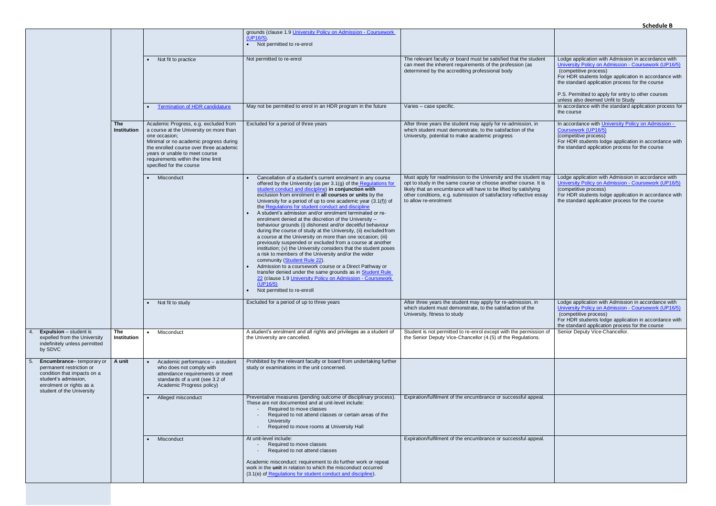| ٦t              | Lodge application with Admission in accordance with<br>University Policy on Admission - Coursework (UP16/5)<br>(competitive process)<br>For HDR students lodge application in accordance with<br>the standard application process for the course<br>P.S. Permitted to apply for entry to other courses<br>unless also deemed Unfit to Study<br>In accordance with the standard application process for<br>the course |
|-----------------|----------------------------------------------------------------------------------------------------------------------------------------------------------------------------------------------------------------------------------------------------------------------------------------------------------------------------------------------------------------------------------------------------------------------|
|                 | In accordance with University Policy on Admission -<br>Coursework (UP16/5)<br>(competitive process)<br>For HDR students lodge application in accordance with<br>the standard application process for the course                                                                                                                                                                                                      |
| may<br>is<br>ay | Lodge application with Admission in accordance with<br>University Policy on Admission - Coursework (UP16/5)<br>(competitive process)<br>For HDR students lodge application in accordance with<br>the standard application process for the course                                                                                                                                                                     |
|                 | Lodge application with Admission in accordance with<br>University Policy on Admission - Coursework (UP16/5)<br>(competitive process)<br>For HDR students lodge application in accordance with<br>the standard application process for the course                                                                                                                                                                     |
| n of            | Senior Deputy Vice-Chancellor.                                                                                                                                                                                                                                                                                                                                                                                       |
|                 |                                                                                                                                                                                                                                                                                                                                                                                                                      |
| l.              |                                                                                                                                                                                                                                                                                                                                                                                                                      |
| I.              |                                                                                                                                                                                                                                                                                                                                                                                                                      |

|                                                                                                                                                                      |                                  |                                                                                                                                                                                                                                                                                            |                                                                                                                                                                                                                                                                                                                                                                                                                                                                                                                                                                                                                                                                                                                                                                                                                                                                                                                                                                                                                                                                                                                                                            |                                                                                                                                                                                                                                                                                                       | JUICUUIC L                                                                                                                                                                                                                                                                                                                                  |
|----------------------------------------------------------------------------------------------------------------------------------------------------------------------|----------------------------------|--------------------------------------------------------------------------------------------------------------------------------------------------------------------------------------------------------------------------------------------------------------------------------------------|------------------------------------------------------------------------------------------------------------------------------------------------------------------------------------------------------------------------------------------------------------------------------------------------------------------------------------------------------------------------------------------------------------------------------------------------------------------------------------------------------------------------------------------------------------------------------------------------------------------------------------------------------------------------------------------------------------------------------------------------------------------------------------------------------------------------------------------------------------------------------------------------------------------------------------------------------------------------------------------------------------------------------------------------------------------------------------------------------------------------------------------------------------|-------------------------------------------------------------------------------------------------------------------------------------------------------------------------------------------------------------------------------------------------------------------------------------------------------|---------------------------------------------------------------------------------------------------------------------------------------------------------------------------------------------------------------------------------------------------------------------------------------------------------------------------------------------|
|                                                                                                                                                                      |                                  |                                                                                                                                                                                                                                                                                            | grounds (clause 1.9 University Policy on Admission - Coursework<br>$(UP16/5)$ .<br>• Not permitted to re-enrol                                                                                                                                                                                                                                                                                                                                                                                                                                                                                                                                                                                                                                                                                                                                                                                                                                                                                                                                                                                                                                             |                                                                                                                                                                                                                                                                                                       |                                                                                                                                                                                                                                                                                                                                             |
|                                                                                                                                                                      |                                  | Not fit to practice                                                                                                                                                                                                                                                                        | Not permitted to re-enrol                                                                                                                                                                                                                                                                                                                                                                                                                                                                                                                                                                                                                                                                                                                                                                                                                                                                                                                                                                                                                                                                                                                                  | The relevant faculty or board must be satisfied that the student<br>can meet the inherent requirements of the profession (as<br>determined by the accrediting professional body                                                                                                                       | Lodge application with Admission in accordance with<br>University Policy on Admission - Coursework (UP16/5)<br>(competitive process)<br>For HDR students lodge application in accordance with<br>the standard application process for the course<br>P.S. Permitted to apply for entry to other courses<br>unless also deemed Unfit to Study |
|                                                                                                                                                                      |                                  | <b>Termination of HDR candidature</b>                                                                                                                                                                                                                                                      | May not be permitted to enrol in an HDR program in the future                                                                                                                                                                                                                                                                                                                                                                                                                                                                                                                                                                                                                                                                                                                                                                                                                                                                                                                                                                                                                                                                                              | Varies - case specific.                                                                                                                                                                                                                                                                               | In accordance with the standard application process for<br>the course                                                                                                                                                                                                                                                                       |
|                                                                                                                                                                      | <b>The</b><br><b>Institution</b> | Academic Progress, e.g. excluded from<br>a course at the University on more than<br>one occasion;<br>Minimal or no academic progress during<br>the enrolled course over three academic<br>years or unable to meet course<br>requirements within the time limit<br>specified for the course | Excluded for a period of three years                                                                                                                                                                                                                                                                                                                                                                                                                                                                                                                                                                                                                                                                                                                                                                                                                                                                                                                                                                                                                                                                                                                       | After three years the student may apply for re-admission, in<br>which student must demonstrate, to the satisfaction of the<br>University, potential to make academic progress                                                                                                                         | In accordance with University Policy on Admission -<br>Coursework (UP16/5)<br>(competitive process)<br>For HDR students lodge application in accordance with<br>the standard application process for the course                                                                                                                             |
|                                                                                                                                                                      |                                  | Misconduct                                                                                                                                                                                                                                                                                 | Cancellation of a student's current enrolment in any course<br>offered by the University (as per 3.1(g) of the Regulations for<br>student conduct and discipline) in conjunction with<br>exclusion from enrolment in all courses or units by the<br>University for a period of up to one academic year $(3.1(f))$ of<br>the Regulations for student conduct and discipline<br>A student's admission and/or enrolment terminated or re-<br>enrolment denied at the discretion of the University -<br>behaviour grounds (i) dishonest and/or deceitful behaviour<br>during the course of study at the University, (ii) excluded from<br>a course at the University on more than one occasion; (iii)<br>previously suspended or excluded from a course at another<br>institution; (v) the University considers that the student poses<br>a risk to members of the University and/or the wider<br>community (Student Rule 22).<br>Admission to a coursework course or a Direct Pathway or<br>transfer denied under the same grounds as in Student Rule<br>22 (clause 1.9 University Policy on Admission - Coursework<br>(UP16/5)<br>Not permitted to re-enroll | Must apply for readmission to the University and the student may<br>opt to study in the same course or choose another course. It is<br>likely that an encumbrance will have to be lifted by satisfying<br>other conditions, e.g. submission of satisfactory reflective essay<br>to allow re-enrolment | Lodge application with Admission in accordance with<br>University Policy on Admission - Coursework (UP16/5)<br>(competitive process)<br>For HDR students lodge application in accordance with<br>the standard application process for the course                                                                                            |
|                                                                                                                                                                      |                                  | Not fit to study                                                                                                                                                                                                                                                                           | Excluded for a period of up to three years                                                                                                                                                                                                                                                                                                                                                                                                                                                                                                                                                                                                                                                                                                                                                                                                                                                                                                                                                                                                                                                                                                                 | After three years the student may apply for re-admission, in<br>which student must demonstrate, to the satisfaction of the<br>University, fitness to study                                                                                                                                            | Lodge application with Admission in accordance with<br>University Policy on Admission - Coursework (UP16/5)<br>(competitive process)<br>For HDR students lodge application in accordance with<br>the standard application process for the course                                                                                            |
| <b>Expulsion</b> – student is<br>expelled from the University<br>indefinitely unless permitted<br>by SDVC                                                            | The<br>Institution               | Misconduct<br>$\bullet$                                                                                                                                                                                                                                                                    | A student's enrolment and all rights and privileges as a student of<br>the University are cancelled.                                                                                                                                                                                                                                                                                                                                                                                                                                                                                                                                                                                                                                                                                                                                                                                                                                                                                                                                                                                                                                                       | Student is not permitted to re-enrol except with the permission of<br>the Senior Deputy Vice-Chancellor (4.(5) of the Regulations.                                                                                                                                                                    | Senior Deputy Vice-Chancellor.                                                                                                                                                                                                                                                                                                              |
| Encumbrance-temporary or<br>permanent restriction or<br>condition that impacts on a<br>student's admission,<br>enrolment or rights as a<br>student of the University | A unit                           | Academic performance - a student<br>who does not comply with<br>attendance requirements or meet<br>standards of a unit (see 3.2 of<br>Academic Progress policy)                                                                                                                            | Prohibited by the relevant faculty or board from undertaking further<br>study or examinations in the unit concerned.                                                                                                                                                                                                                                                                                                                                                                                                                                                                                                                                                                                                                                                                                                                                                                                                                                                                                                                                                                                                                                       |                                                                                                                                                                                                                                                                                                       |                                                                                                                                                                                                                                                                                                                                             |
|                                                                                                                                                                      |                                  | Alleged misconduct                                                                                                                                                                                                                                                                         | Preventative measures (pending outcome of disciplinary process).<br>These are not documented and at unit-level include:<br>Required to move classes<br>Required to not attend classes or certain areas of the<br>University<br>Required to move rooms at University Hall                                                                                                                                                                                                                                                                                                                                                                                                                                                                                                                                                                                                                                                                                                                                                                                                                                                                                   | Expiration/fulfilment of the encumbrance or successful appeal.                                                                                                                                                                                                                                        |                                                                                                                                                                                                                                                                                                                                             |
|                                                                                                                                                                      |                                  | Misconduct                                                                                                                                                                                                                                                                                 | At unit-level include:<br>Required to move classes<br>Required to not attend classes<br>Academic misconduct: requirement to do further work or repeat<br>work in the unit in relation to which the misconduct occurred<br>(3.1(e) of Regulations for student conduct and discipline).                                                                                                                                                                                                                                                                                                                                                                                                                                                                                                                                                                                                                                                                                                                                                                                                                                                                      | Expiration/fulfilment of the encumbrance or successful appeal.                                                                                                                                                                                                                                        |                                                                                                                                                                                                                                                                                                                                             |
|                                                                                                                                                                      |                                  |                                                                                                                                                                                                                                                                                            |                                                                                                                                                                                                                                                                                                                                                                                                                                                                                                                                                                                                                                                                                                                                                                                                                                                                                                                                                                                                                                                                                                                                                            |                                                                                                                                                                                                                                                                                                       |                                                                                                                                                                                                                                                                                                                                             |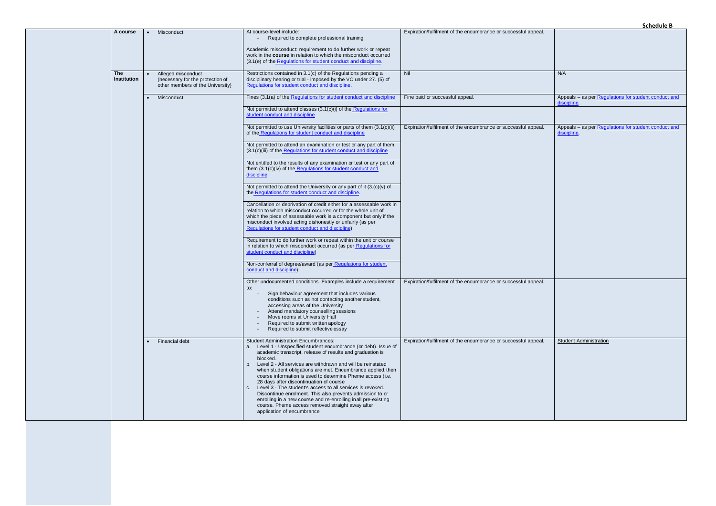| Expiration/fulfilment of the encumbrance or successful appeal. |                                                                     |
|----------------------------------------------------------------|---------------------------------------------------------------------|
| Nil                                                            | N/A                                                                 |
| Fine paid or successful appeal.                                | Appeals - as per Regulations for student conduct and<br>discipline. |
| Expiration/fulfilment of the encumbrance or successful appeal. | Appeals - as per Regulations for student conduct and<br>discipline. |
| Expiration/fulfilment of the encumbrance or successful appeal. |                                                                     |
| Expiration/fulfilment of the encumbrance or successful appeal. | <b>Student Administration</b>                                       |
|                                                                |                                                                     |

| A course                         |            | Misconduct                                                                                                                                                                                                                                                                                                                                                               | At course-level include:<br>Required to complete professional training<br>Academic misconduct: requirement to do further work or repeat<br>work in the course in relation to which the misconduct occurred<br>(3.1(e) of the Regulations for student conduct and discipline.                                                                                                                                                                                                                                                                                                                                                                                                                                         | Expiration/fulfilment of the encumbrance or successful appeal. |                                                                     |
|----------------------------------|------------|--------------------------------------------------------------------------------------------------------------------------------------------------------------------------------------------------------------------------------------------------------------------------------------------------------------------------------------------------------------------------|----------------------------------------------------------------------------------------------------------------------------------------------------------------------------------------------------------------------------------------------------------------------------------------------------------------------------------------------------------------------------------------------------------------------------------------------------------------------------------------------------------------------------------------------------------------------------------------------------------------------------------------------------------------------------------------------------------------------|----------------------------------------------------------------|---------------------------------------------------------------------|
| <b>The</b><br><b>Institution</b> |            | Alleged misconduct<br>(necessary for the protection of<br>other members of the University)                                                                                                                                                                                                                                                                               | Restrictions contained in 3.1(c) of the Regulations pending a<br>disciplinary hearing or trial - imposed by the VC under 27. (5) of<br>Regulations for student conduct and discipline.                                                                                                                                                                                                                                                                                                                                                                                                                                                                                                                               | Nil                                                            | N/A                                                                 |
|                                  | Misconduct |                                                                                                                                                                                                                                                                                                                                                                          | Fines (3.1(a) of the Regulations for student conduct and discipline<br>Not permitted to attend classes (3.1(c)(i) of the Regulations for<br>student conduct and discipline                                                                                                                                                                                                                                                                                                                                                                                                                                                                                                                                           | Fine paid or successful appeal.                                | Appeals - as per Regulations for student conduct and<br>discipline. |
|                                  |            |                                                                                                                                                                                                                                                                                                                                                                          | Not permitted to use University facilities or parts of them (3.1(c)(ii)<br>of the Regulations for student conduct and discipline<br>Not permitted to attend an examination or test or any part of them<br>(3.1(c)(iii) of the Regulations for student conduct and discipline<br>Not entitled to the results of any examination or test or any part of<br>them (3.1(c)(iv) of the Regulations for student conduct and                                                                                                                                                                                                                                                                                                 | Expiration/fulfilment of the encumbrance or successful appeal. | Appeals – as per Regulations for student conduct and<br>discipline  |
|                                  |            |                                                                                                                                                                                                                                                                                                                                                                          | discipline<br>Not permitted to attend the University or any part of it $(3.(c)(v))$ of<br>the Regulations for student conduct and discipline.<br>Cancellation or deprivation of credit either for a assessable work in<br>relation to which misconduct occurred or for the whole unit of<br>which the piece of assessable work is a component but only if the<br>misconduct involved acting dishonestly or unfairly (as per<br>Regulations for student conduct and discipline)                                                                                                                                                                                                                                       |                                                                |                                                                     |
|                                  |            | Requirement to do further work or repeat within the unit or course<br>in relation to which misconduct occurred (as per Regulations for<br>student conduct and discipline)<br>Non-conferral of degree/award (as per Regulations for student<br>conduct and discipline);                                                                                                   |                                                                                                                                                                                                                                                                                                                                                                                                                                                                                                                                                                                                                                                                                                                      |                                                                |                                                                     |
|                                  |            | Other undocumented conditions. Examples include a requirement<br>to:<br>Sign behaviour agreement that includes various<br>conditions such as not contacting another student,<br>accessing areas of the University<br>Attend mandatory counselling sessions<br>Move rooms at University Hall<br>Required to submit written apology<br>Required to submit reflective essay | Expiration/fulfilment of the encumbrance or successful appeal.                                                                                                                                                                                                                                                                                                                                                                                                                                                                                                                                                                                                                                                       |                                                                |                                                                     |
|                                  |            | Financial debt                                                                                                                                                                                                                                                                                                                                                           | <b>Student Administration Encumbrances:</b><br>a. Level 1 - Unspecified student encumbrance (or debt). Issue of<br>academic transcript, release of results and graduation is<br>blocked.<br>b. Level 2 - All services are withdrawn and will be reinstated<br>when student obligations are met. Encumbrance applied, then<br>course information is used to determine Pheme access (i.e.<br>28 days after discontinuation of course<br>c. Level 3 - The student's access to all services is revoked.<br>Discontinue enrolment. This also prevents admission to or<br>enrolling in a new course and re-enrolling in all pre-existing<br>course. Pheme access removed straight away after<br>application of encumbrance | Expiration/fulfilment of the encumbrance or successful appeal. | <b>Student Administration</b>                                       |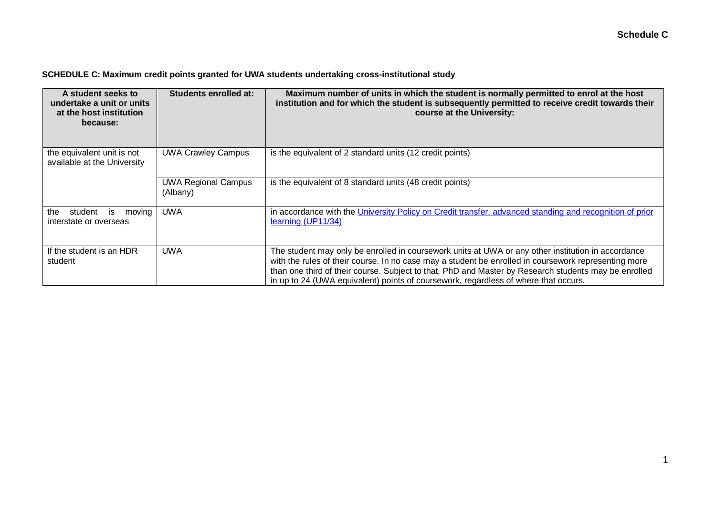## **SCHEDULE C: Maximum credit points granted for UWA students undertaking cross-institutional study**

| A student seeks to<br>undertake a unit or units<br>at the host institution<br>because: | Students enrolled at:                  | Maximum number of units in which the student is normally permitted to enrol at the host<br>institution and for which the student is subsequently permitted to receive credit towards their<br>course at the University:                                                                                                                                                                                   |  |
|----------------------------------------------------------------------------------------|----------------------------------------|-----------------------------------------------------------------------------------------------------------------------------------------------------------------------------------------------------------------------------------------------------------------------------------------------------------------------------------------------------------------------------------------------------------|--|
| the equivalent unit is not<br>available at the University                              | <b>UWA Crawley Campus</b>              | is the equivalent of 2 standard units (12 credit points)                                                                                                                                                                                                                                                                                                                                                  |  |
|                                                                                        | <b>UWA Regional Campus</b><br>(Albany) | is the equivalent of 8 standard units (48 credit points)                                                                                                                                                                                                                                                                                                                                                  |  |
| the<br>student is<br>moving<br>interstate or overseas                                  | <b>UWA</b>                             | in accordance with the University Policy on Credit transfer, advanced standing and recognition of prior<br>learning (UP11/34)                                                                                                                                                                                                                                                                             |  |
| If the student is an HDR<br>student                                                    | UWA                                    | The student may only be enrolled in coursework units at UWA or any other institution in accordance<br>with the rules of their course. In no case may a student be enrolled in coursework representing more<br>than one third of their course. Subject to that, PhD and Master by Research students may be enrolled<br>in up to 24 (UWA equivalent) points of coursework, regardless of where that occurs. |  |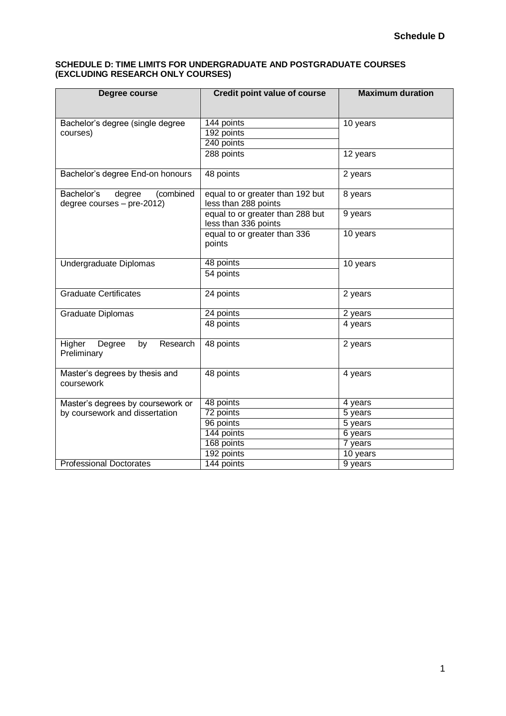#### **SCHEDULE D: TIME LIMITS FOR UNDERGRADUATE AND POSTGRADUATE COURSES (EXCLUDING RESEARCH ONLY COURSES)**

| Degree course                                     | <b>Credit point value of course</b>                      | <b>Maximum duration</b> |  |
|---------------------------------------------------|----------------------------------------------------------|-------------------------|--|
|                                                   |                                                          |                         |  |
| Bachelor's degree (single degree                  | 144 points                                               | 10 years                |  |
| courses)                                          | 192 points                                               |                         |  |
|                                                   | 240 points                                               |                         |  |
|                                                   | 288 points                                               | 12 years                |  |
| Bachelor's degree End-on honours                  | 48 points                                                | 2 years                 |  |
| Bachelor's<br>(combined<br>degree                 | equal to or greater than 192 but                         | 8 years                 |  |
| degree courses - pre-2012)                        | less than 288 points                                     |                         |  |
|                                                   | equal to or greater than 288 but<br>less than 336 points | 9 years                 |  |
|                                                   | equal to or greater than 336<br>points                   | 10 years                |  |
| Undergraduate Diplomas                            | 48 points                                                | 10 years                |  |
|                                                   | 54 points                                                |                         |  |
| <b>Graduate Certificates</b>                      | 24 points                                                | 2 years                 |  |
| Graduate Diplomas                                 | 24 points                                                | 2 years                 |  |
|                                                   | 48 points                                                | 4 years                 |  |
| Research<br>Higher<br>Degree<br>by<br>Preliminary | 48 points                                                | 2 years                 |  |
| Master's degrees by thesis and<br>coursework      | 48 points                                                | 4 years                 |  |
| Master's degrees by coursework or                 | 48 points                                                | 4 years                 |  |
| by coursework and dissertation                    | 72 points                                                | 5 years                 |  |
|                                                   | 96 points                                                | 5 years                 |  |
|                                                   | 144 points                                               | 6 years                 |  |
|                                                   | 168 points                                               | 7 years                 |  |
|                                                   | 192 points                                               | $\overline{10}$ years   |  |
| <b>Professional Doctorates</b>                    | 144 points                                               | 9 years                 |  |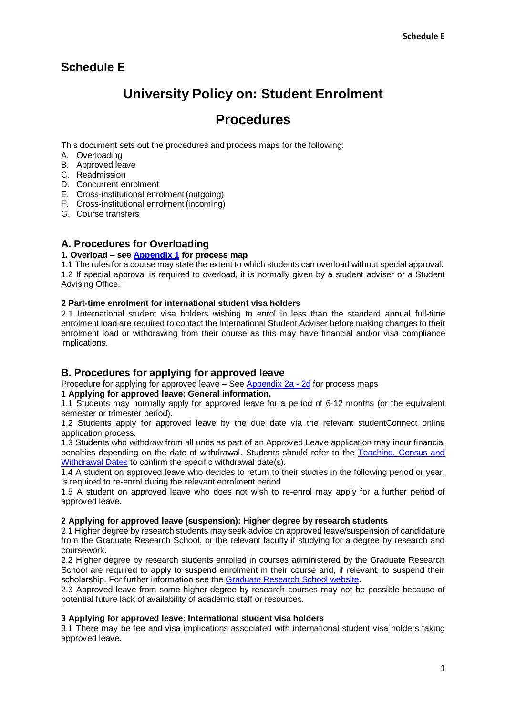## **Schedule E**

# **University Policy on: Student Enrolment**

## **Procedures**

This document sets out the procedures and process maps for the following:

- A. Overloading
- B. Approved leave
- C. Readmission
- D. Concurrent enrolment
- E. Cross-institutional enrolment(outgoing)
- F. Cross-institutional enrolment(incoming)
- G. Course transfers

## **A. Procedures for Overloading**

#### **1. Overload – see [Appendix 1](http://www.governance.uwa.edu.au/__data/assets/pdf_file/0007/3385168/UP-Student-Enrolment_Appendices-1-7_Processes.pdf) for process map**

1.1 The rules for a course may state the extent to which students can overload without special approval. 1.2 If special approval is required to overload, it is normally given by a student adviser or a Student Advising Office.

#### **2 Part-time enrolment for international student visa holders**

2.1 International student visa holders wishing to enrol in less than the standard annual full-time enrolment load are required to contact the International Student Adviser before making changes to their enrolment load or withdrawing from their course as this may have financial and/or visa compliance implications.

## **B. Procedures for applying for approved leave**

Procedure for applying for approved leave – See [Appendix 2a -](http://www.governance.uwa.edu.au/__data/assets/pdf_file/0007/3385168/UP-Student-Enrolment_Appendices-1-7_Processes.pdf) 2d for process maps

#### **1 Applying for approved leave: General information.**

1.1 Students may normally apply for approved leave for a period of 6-12 months (or the equivalent semester or trimester period).

1.2 Students apply for approved leave by the due date via the relevant studentConnect online application process.

1.3 Students who withdraw from all units as part of an Approved Leave application may incur financial penalties depending on the date of withdrawal. Students should refer to the [Teaching, Census and](http://www.studentadmin.uwa.edu.au/welcome/enrolment/withdrawal_dates) [Withdrawal Dates](http://www.studentadmin.uwa.edu.au/welcome/enrolment/withdrawal_dates) to confirm the specific withdrawal date(s).

1.4 A student on approved leave who decides to return to their studies in the following period or year, is required to re-enrol during the relevant enrolment period.

1.5 A student on approved leave who does not wish to re-enrol may apply for a further period of approved leave.

#### **2 Applying for approved leave (suspension): Higher degree by research students**

2.1 Higher degree by research students may seek advice on approved leave/suspension of candidature from the Graduate Research School, or the relevant faculty if studying for a degree by research and coursework.

2.2 Higher degree by research students enrolled in courses administered by the Graduate Research School are required to apply to suspend enrolment in their course and, if relevant, to suspend their scholarship. For further information see the [Graduate Research School](http://www.postgraduate.uwa.edu.au/students/candidature/suspension) website.

2.3 Approved leave from some higher degree by research courses may not be possible because of potential future lack of availability of academic staff or resources.

#### **3 Applying for approved leave: International student visa holders**

3.1 There may be fee and visa implications associated with international student visa holders taking approved leave.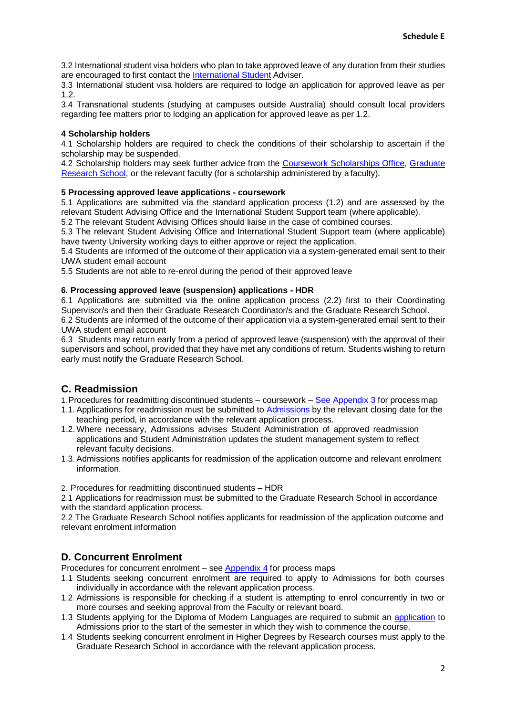3.2 International student visa holders who plan to take approved leave of any duration from their studies are encouraged to first contact the [International Student](https://www.uwa.edu.au/study/international-students) Adviser.

3.3 International student visa holders are required to lodge an application for approved leave as per 1.2.

3.4 Transnational students (studying at campuses outside Australia) should consult local providers regarding fee matters prior to lodging an application for approved leave as per 1.2.

#### **4 Scholarship holders**

4.1 Scholarship holders are required to check the conditions of their scholarship to ascertain if the scholarship may be suspended.

4.2 Scholarship holders may seek further advice from the [Coursework Scholarships Office,](http://www.scholarships.uwa.edu.au/) [Graduate](http://www.scholarships.uwa.edu.au/) [Research School, o](http://www.postgraduate.uwa.edu.au/contact)r the relevant faculty (for a scholarship administered by a faculty).

#### **5 Processing approved leave applications - coursework**

5.1 Applications are submitted via the standard application process (1.2) and are assessed by the relevant Student Advising Office and the International Student Support team (where applicable).

5.2 The relevant Student Advising Offices should liaise in the case of combined courses.

5.3 The relevant Student Advising Office and International Student Support team (where applicable) have twenty University working days to either approve or reject the application.

5.4 Students are informed of the outcome of their application via a system-generated email sent to their UWA student email account

5.5 Students are not able to re-enrol during the period of their approved leave

#### **6. Processing approved leave (suspension) applications - HDR**

6.1 Applications are submitted via the online application process (2.2) first to their Coordinating Supervisor/s and then their Graduate Research Coordinator/s and the Graduate ResearchSchool. 6.2 Students are informed of the outcome of their application via a system-generated email sent to their UWA student email account

6.3 Students may return early from a period of approved leave (suspension) with the approval of their supervisors and school, provided that they have met any conditions of return. Students wishing to return early must notify the Graduate Research School.

## **C. Readmission**

- 1.Procedures for readmitting discontinued students coursework [See Appendix 3](http://www.governance.uwa.edu.au/__data/assets/pdf_file/0007/3385168/UP-Student-Enrolment_Appendices-1-7_Processes.pdf) for process map
- 1.1. Applications for readmission must be submitted to **[Admissions](https://study.uwa.edu.au/how-to-apply/)** by the relevant closing date for the teaching period, in accordance with the relevant application process.
- 1.2. Where necessary, Admissions advises Student Administration of approved readmission applications and Student Administration updates the student management system to reflect relevant faculty decisions.
- 1.3. Admissions notifies applicants for readmission of the application outcome and relevant enrolment information.

2. Procedures for readmitting discontinued students – HDR

2.1 Applications for readmission must be submitted to the Graduate Research School in accordance with the standard application process.

2.2 The Graduate Research School notifies applicants for readmission of the application outcome and relevant enrolment information

## **D. Concurrent Enrolment**

Procedures for concurrent enrolment – see [Appendix 4](http://www.governance.uwa.edu.au/__data/assets/pdf_file/0007/3385168/UP-Student-Enrolment_Appendices-1-7_Processes.pdf) for process maps

- 1.1 Students seeking concurrent enrolment are required to apply to Admissions for both courses individually in accordance with the relevant application process.
- 1.2 Admissions is responsible for checking if a student is attempting to enrol concurrently in two or more courses and seeking approval from the Faculty or relevant board.
- 1.3 Students applying for the Diploma of Modern Languages are required to submit an [application](http://www.arts.uwa.edu.au/courses/undergrad/diplomas) to Admissions prior to the start of the semester in which they wish to commence the course.
- 1.4 Students seeking concurrent enrolment in Higher Degrees by Research courses must apply to the Graduate Research School in accordance with the relevant application process.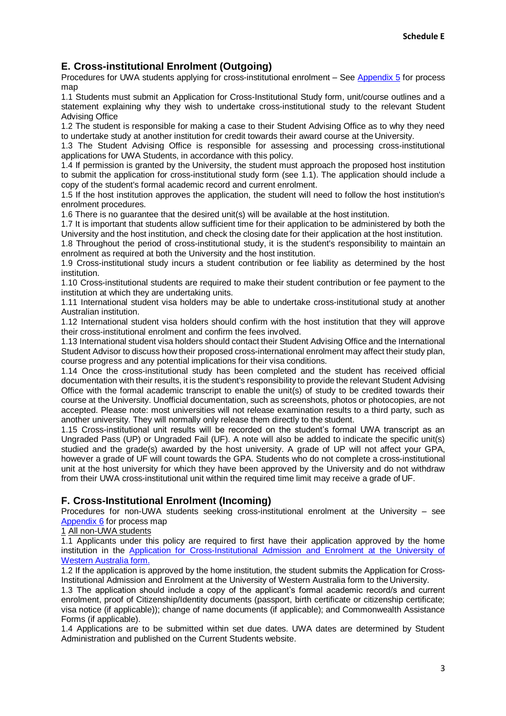## **E. Cross-institutional Enrolment (Outgoing)**

Procedures for UWA students applying for cross-institutional enrolment – See [Appendix 5](http://www.governance.uwa.edu.au/__data/assets/pdf_file/0007/3385168/UP-Student-Enrolment_Appendices-1-7_Processes.pdf) for process map

1.1 Students must submit an Application for Cross-Institutional Study form, unit/course outlines and a statement explaining why they wish to undertake cross-institutional study to the relevant Student Advising Office

1.2 The student is responsible for making a case to their Student Advising Office as to why they need to undertake study at another institution for credit towards their award course at the University.

1.3 The Student Advising Office is responsible for assessing and processing cross-institutional applications for UWA Students, in accordance with this policy.

1.4 If permission is granted by the University, the student must approach the proposed host institution to submit the application for cross-institutional study form (see 1.1). The application should include a copy of the student's formal academic record and current enrolment.

1.5 If the host institution approves the application, the student will need to follow the host institution's enrolment procedures.

1.6 There is no guarantee that the desired unit(s) will be available at the host institution.

1.7 It is important that students allow sufficient time for their application to be administered by both the University and the host institution, and check the closing date for their application at the host institution.

1.8 Throughout the period of cross-institutional study, it is the student's responsibility to maintain an enrolment as required at both the University and the host institution.

1.9 Cross-institutional study incurs a student contribution or fee liability as determined by the host institution.

1.10 Cross-institutional students are required to make their student contribution or fee payment to the institution at which they are undertaking units.

1.11 International student visa holders may be able to undertake cross-institutional study at another Australian institution.

1.12 International student visa holders should confirm with the host institution that they will approve their cross-institutional enrolment and confirm the fees involved.

1.13 International student visa holders should contact their Student Advising Office and the International Student Advisor to discuss how their proposed cross-international enrolment may affect their study plan, course progress and any potential implications for their visa conditions.

1.14 Once the cross-institutional study has been completed and the student has received official documentation with their results, it is the student's responsibility to provide the relevant Student Advising Office with the formal academic transcript to enable the unit(s) of study to be credited towards their course at the University. Unofficial documentation, such as screenshots, photos or photocopies, are not accepted. Please note: most universities will not release examination results to a third party, such as another university. They will normally only release them directly to the student.

1.15 Cross-institutional unit results will be recorded on the student's formal UWA transcript as an Ungraded Pass (UP) or Ungraded Fail (UF). A note will also be added to indicate the specific unit(s) studied and the grade(s) awarded by the host university. A grade of UP will not affect your GPA, however a grade of UF will count towards the GPA. Students who do not complete a cross-institutional unit at the host university for which they have been approved by the University and do not withdraw from their UWA cross-institutional unit within the required time limit may receive a grade of UF.

## **F. Cross-Institutional Enrolment (Incoming)**

Procedures for non-UWA students seeking cross-institutional enrolment at the University – see [Appendix 6](http://www.governance.uwa.edu.au/__data/assets/pdf_file/0007/3385168/UP-Student-Enrolment_Appendices-1-7_Processes.pdf) for process map

1 All non-UWA students

1.1 Applicants under this policy are required to first have their application approved by the home institution in the [Application for Cross-Institutional Admission and Enrolment at the University of](http://www.studentadmin.uwa.edu.au/welcome/enrolment/crossenrol?f=102584) [Western Australia](http://www.studentadmin.uwa.edu.au/welcome/enrolment/crossenrol?f=102584) form.

1.2 If the application is approved by the home institution, the student submits the Application for Cross-Institutional Admission and Enrolment at the University of Western Australia form to the University.

1.3 The application should include a copy of the applicant's formal academic record/s and current enrolment, proof of Citizenship/Identity documents (passport, birth certificate or citizenship certificate; visa notice (if applicable)); change of name documents (if applicable); and Commonwealth Assistance Forms (if applicable).

1.4 Applications are to be submitted within set due dates. UWA dates are determined by Student Administration and published on the Current Students website.